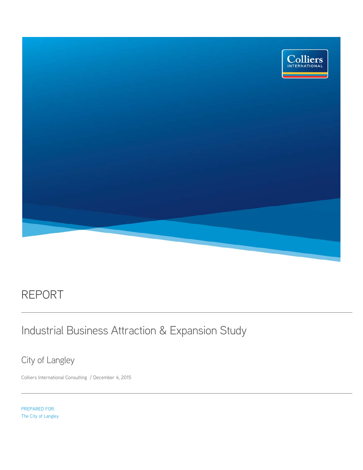

## REPORT

## Industrial Business Attraction & Expansion Study

City of Langley

Colliers International Consulting / December 4, 2015

PREPARED FOR: The City of Langley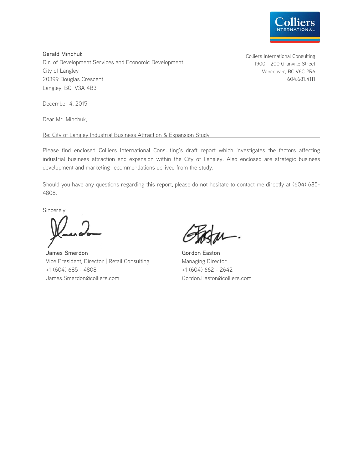

Gerald Minchuk Dir. of Development Services and Economic Development City of Langley 20399 Douglas Crescent Langley, BC V3A 4B3

December 4, 2015

Dear Mr. Minchuk,

Re: City of Langley Industrial Business Attraction & Expansion Study

Please find enclosed Colliers International Consulting's draft report which investigates the factors affecting industrial business attraction and expansion within the City of Langley. Also enclosed are strategic business development and marketing recommendations derived from the study.

Should you have any questions regarding this report, please do not hesitate to contact me directly at (604) 685- 4808.

Sincerely,

James Smerdon Vice President, Director | Retail Consulting +1 (604) 685 - 4808 James.Smerdon@colliers.com

Gordon Easton Managing Director +1 (604) 662 - 2642 Gordon.Easton@colliers.com

Colliers International Consulting 1900 - 200 Granville Street Vancouver, BC V6C 2R6 604.681.4111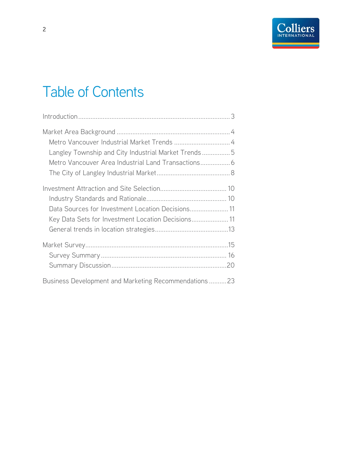# Table of Contents

| Langley Township and City Industrial Market Trends5  |  |
|------------------------------------------------------|--|
|                                                      |  |
|                                                      |  |
|                                                      |  |
|                                                      |  |
| Data Sources for Investment Location Decisions 11    |  |
| Key Data Sets for Investment Location Decisions 11   |  |
|                                                      |  |
|                                                      |  |
|                                                      |  |
|                                                      |  |
| Business Development and Marketing Recommendations23 |  |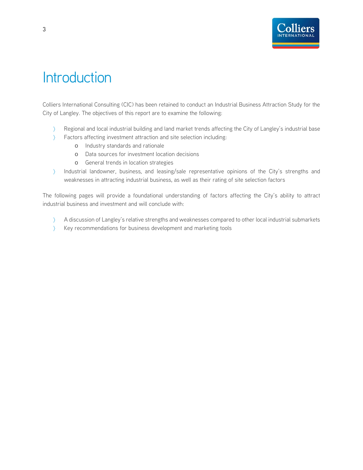

## **Introduction**

Colliers International Consulting (CIC) has been retained to conduct an Industrial Business Attraction Study for the City of Langley. The objectives of this report are to examine the following:

- Regional and local industrial building and land market trends affecting the City of Langley's industrial base
- Factors affecting investment attraction and site selection including:
	- o Industry standards and rationale
	- o Data sources for investment location decisions
	- o General trends in location strategies
- Industrial landowner, business, and leasing/sale representative opinions of the City's strengths and weaknesses in attracting industrial business, as well as their rating of site selection factors

The following pages will provide a foundational understanding of factors affecting the City's ability to attract industrial business and investment and will conclude with:

- A discussion of Langley's relative strengths and weaknesses compared to other local industrial submarkets
- Xey recommendations for business development and marketing tools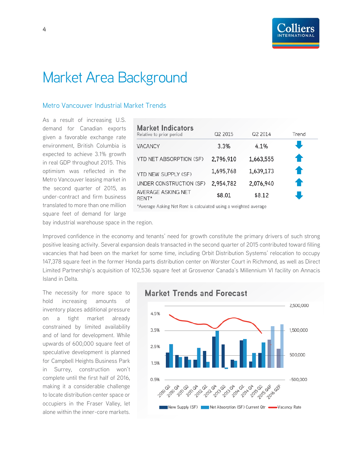## Market Area Background

### Metro Vancouver Industrial Market Trends

As a result of increasing U.S. demand for Canadian exports given a favorable exchange rate environment, British Columbia is expected to achieve 3.1% growth in real GDP throughout 2015. This optimism was reflected in the Metro Vancouver leasing market in the second quarter of 2015, as under-contract and firm business translated to more than one million square feet of demand for large

| <b>Market Indicators</b><br>Relative to prior period | Q2 2015   | Q2 2014   | Trend |
|------------------------------------------------------|-----------|-----------|-------|
| <b>VACANCY</b>                                       | 3.3%      | 4.1%      |       |
| YTD NET ABSORPTION (SF)                              | 2,796,910 | 1,663,555 | ♠     |
| YTD NEW SUPPLY (SF)                                  | 1,695,768 | 1,639,173 | ♠     |
| UNDER CONSTRUCTION (SF)                              | 2,954,782 | 2,076,940 | €     |
| AVERAGE ASKING NET<br>RENT*                          | \$8.01    | \$8.12    |       |

\*Average Asking Net Rent is calculated using a weighted average

bay industrial warehouse space in the region.

Improved confidence in the economy and tenants' need for growth constitute the primary drivers of such strong positive leasing activity. Several expansion deals transacted in the second quarter of 2015 contributed toward filling vacancies that had been on the market for some time, including Orbit Distribution Systems' relocation to occupy 147,378 square feet in the former Honda parts distribution center on Worster Court in Richmond, as well as Direct Limited Partnership's acquisition of 102,536 square feet at Grosvenor Canada's Millennium VI facility on Annacis Island in Delta.

The necessity for more space to hold increasing amounts of inventory places additional pressure on a tight market already constrained by limited availability and of land for development. While upwards of 600,000 square feet of speculative development is planned for Campbell Heights Business Park in Surrey, construction won't complete until the first half of 2016, making it a considerable challenge to locate distribution center space or occupiers in the Fraser Valley, let alone within the inner-core markets.

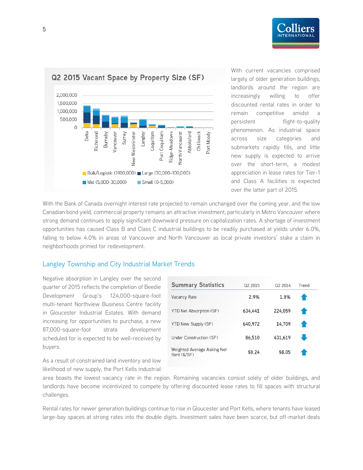





With current vacancies comprised largely of older generation buildings, landlords around the region are increasingly willing to offer discounted rental rates in order to remain competitive amidst a persistent flight-to-quality phenomenon. As industrial space across size categories and submarkets rapidly fills, and little new supply is expected to arrive over the short-term, a modest appreciation in lease rates for Tier-1 and Class A facilities is expected over the latter part of 2015.

With the Bank of Canada overnight interest rate projected to remain unchanged over the coming year, and the low Canadian bond yield, commercial property remains an attractive investment, particularly in Metro Vancouver where strong demand continues to apply significant downward pressure on capitalization rates. A shortage of investment opportunities has caused Class B and Class C industrial buildings to be readily purchased at yields under 6.0%, falling to below 4.0% in areas of Vancouver and North Vancouver as local private investors' stake a claim in neighborhoods primed for redevelopment.

#### Langley Township and City Industrial Market Trends

Negative absorption in Langley over the second quarter of 2015 reflects the completion of Beedie Development Group's 124,000-square-foot multi-tenant Northview Business Centre facility in Gloucester Industrial Estates. With demand increasing for opportunities to purchase, a new 87,000-square-foot strata development scheduled for is expected to be well-received by buyers.

**Summary Statistics** Q2 2015 Q2 2014 Trend 2.9% Vacancy Rate 1.8% YTD Net Absorption (SF) 634,441 224,059 YTD New Supply (SF) 640,972 14,709 Under Construction (SF) 86,510 431,619 Weighted Average Asking Net \$8.24 \$8.05 Rent (\$/SF)

As a result of constrained land inventory and low likelihood of new supply, the Port Kells industrial

area boasts the lowest vacancy rate in the region. Remaining vacancies consist solely of older buildings, and landlords have become incentivized to compete by offering discounted lease rates to fill spaces with structural challenges.

Rental rates for newer generation buildings continue to rise in Gloucester and Port Kells, where tenants have leased large-bay spaces at strong rates into the double digits. Investment sales have been scarce, but off-market deals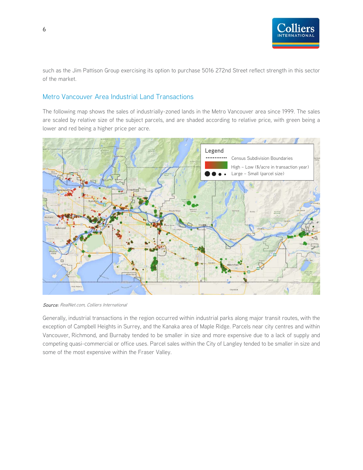![](_page_6_Picture_0.jpeg)

such as the Jim Pattison Group exercising its option to purchase 5016 272nd Street reflect strength in this sector of the market.

#### Metro Vancouver Area Industrial Land Transactions

The following map shows the sales of industrially-zoned lands in the Metro Vancouver area since 1999. The sales are scaled by relative size of the subject parcels, and are shaded according to relative price, with green being a lower and red being a higher price per acre.

![](_page_6_Figure_4.jpeg)

Source: RealNet.com, Colliers International

Generally, industrial transactions in the region occurred within industrial parks along major transit routes, with the exception of Campbell Heights in Surrey, and the Kanaka area of Maple Ridge. Parcels near city centres and within Vancouver, Richmond, and Burnaby tended to be smaller in size and more expensive due to a lack of supply and competing quasi-commercial or office uses. Parcel sales within the City of Langley tended to be smaller in size and some of the most expensive within the Fraser Valley.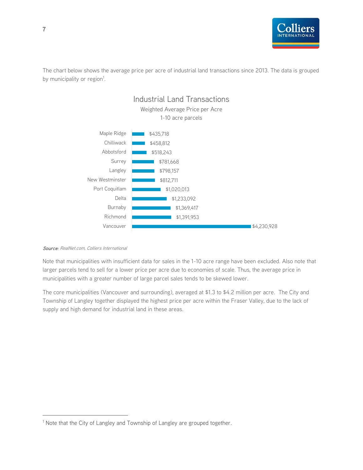![](_page_7_Picture_0.jpeg)

The chart below shows the average price per acre of industrial land transactions since 2013. The data is grouped by municipality or region<sup>1</sup>.

![](_page_7_Figure_2.jpeg)

#### Source: RealNet.com, Colliers International

 $\overline{a}$ 

Note that municipalities with insufficient data for sales in the 1-10 acre range have been excluded. Also note that larger parcels tend to sell for a lower price per acre due to economies of scale. Thus, the average price in municipalities with a greater number of large parcel sales tends to be skewed lower.

The core municipalities (Vancouver and surrounding), averaged at \$1.3 to \$4.2 million per acre. The City and Township of Langley together displayed the highest price per acre within the Fraser Valley, due to the lack of supply and high demand for industrial land in these areas.

<sup>&</sup>lt;sup>1</sup> Note that the City of Langley and Township of Langley are grouped together.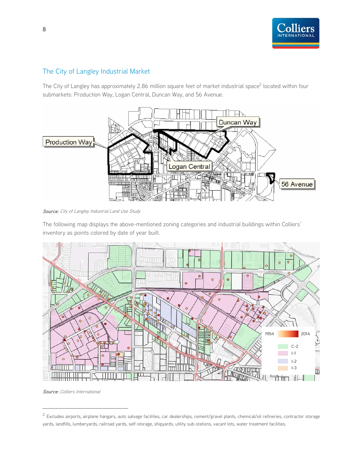![](_page_8_Picture_0.jpeg)

## The City of Langley Industrial Market

The City of Langley has approximately 2.86 million square feet of market industrial space<sup>2</sup> located within four submarkets: Production Way, Logan Central, Duncan Way, and 56 Avenue.

![](_page_8_Picture_3.jpeg)

Source: City of Langley Industrial Land Use Study

The following map displays the above-mentioned zoning categories and industrial buildings within Colliers' inventory as points colored by date of year built.

![](_page_8_Figure_6.jpeg)

Source: Colliers International

 $\overline{a}$ 

<sup>&</sup>lt;sup>2</sup> Excludes airports, airplane hangars, auto salvage facilities, car dealerships, cement/gravel plants, chemical/oil refineries, contractor storage yards, landfills, lumberyards, railroad yards, self-storage, shipyards, utility sub-stations, vacant lots, water treatment facilities.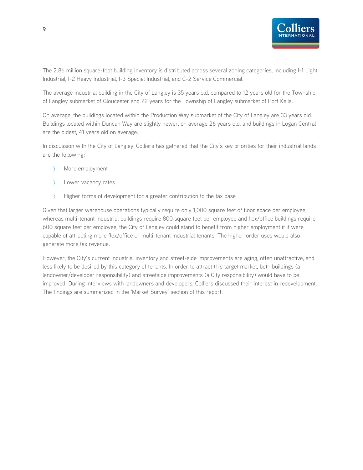![](_page_9_Picture_0.jpeg)

The 2.86 million square-foot building inventory is distributed across several zoning categories, including I-1 Light Industrial, I-2 Heavy Industrial, I-3 Special Industrial, and C-2 Service Commercial.

The average industrial building in the City of Langley is 35 years old, compared to 12 years old for the Township of Langley submarket of Gloucester and 22 years for the Township of Langley submarket of Port Kells.

On average, the buildings located within the Production Way submarket of the City of Langley are 33 years old. Buildings located within Duncan Way are slightly newer, on average 26 years old, and buildings in Logan Central are the oldest, 41 years old on average.

In discussion with the City of Langley, Colliers has gathered that the City's key priorities for their industrial lands are the following:

- More employment
- Lower vacancy rates
- Higher forms of development for a greater contribution to the tax base

Given that larger warehouse operations typically require only 1,000 square feet of floor space per employee, whereas multi-tenant industrial buildings require 800 square feet per employee and flex/office buildings require 600 square feet per employee, the City of Langley could stand to benefit from higher employment if it were capable of attracting more flex/office or multi-tenant industrial tenants. The higher-order uses would also generate more tax revenue.

However, the City's current industrial inventory and street-side improvements are aging, often unattractive, and less likely to be desired by this category of tenants. In order to attract this target market, both buildings (a landowner/developer responsibility) and streetside improvements (a City responsibility) would have to be improved. During interviews with landowners and developers, Colliers discussed their interest in redevelopment. The findings are summarized in the 'Market Survey' section of this report.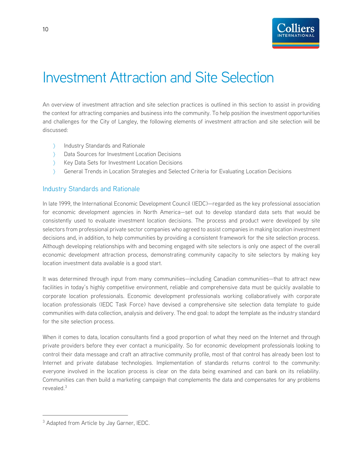![](_page_10_Picture_0.jpeg)

## Investment Attraction and Site Selection

An overview of investment attraction and site selection practices is outlined in this section to assist in providing the context for attracting companies and business into the community. To help position the investment opportunities and challenges for the City of Langley, the following elements of investment attraction and site selection will be discussed:

- > Industry Standards and Rationale
- Data Sources for Investment Location Decisions
- Key Data Sets for Investment Location Decisions
- General Trends in Location Strategies and Selected Criteria for Evaluating Location Decisions

#### Industry Standards and Rationale

In late 1999, the International Economic Development Council (IEDC)—regarded as the key professional association for economic development agencies in North America—set out to develop standard data sets that would be consistently used to evaluate investment location decisions. The process and product were developed by site selectors from professional private sector companies who agreed to assist companies in making location investment decisions and, in addition, to help communities by providing a consistent framework for the site selection process. Although developing relationships with and becoming engaged with site selectors is only one aspect of the overall economic development attraction process, demonstrating community capacity to site selectors by making key location investment data available is a good start.

It was determined through input from many communities—including Canadian communities—that to attract new facilities in today's highly competitive environment, reliable and comprehensive data must be quickly available to corporate location professionals. Economic development professionals working collaboratively with corporate location professionals (IEDC Task Force) have devised a comprehensive site selection data template to guide communities with data collection, analysis and delivery. The end goal: to adopt the template as the industry standard for the site selection process.

When it comes to data, location consultants find a good proportion of what they need on the Internet and through private providers before they ever contact a municipality. So for economic development professionals looking to control their data message and craft an attractive community profile, most of that control has already been lost to Internet and private database technologies. Implementation of standards returns control to the community: everyone involved in the location process is clear on the data being examined and can bank on its reliability. Communities can then build a marketing campaign that complements the data and compensates for any problems revealed.3

-

<sup>&</sup>lt;sup>3</sup> Adapted from Article by Jay Garner, IEDC.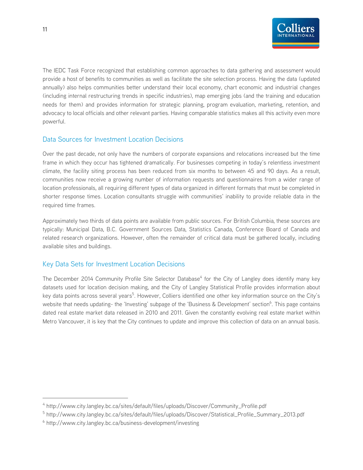![](_page_11_Picture_0.jpeg)

The IEDC Task Force recognized that establishing common approaches to data gathering and assessment would provide a host of benefits to communities as well as facilitate the site selection process. Having the data (updated annually) also helps communities better understand their local economy, chart economic and industrial changes (including internal restructuring trends in specific industries), map emerging jobs (and the training and education needs for them) and provides information for strategic planning, program evaluation, marketing, retention, and advocacy to local officials and other relevant parties. Having comparable statistics makes all this activity even more powerful.

### Data Sources for Investment Location Decisions

Over the past decade, not only have the numbers of corporate expansions and relocations increased but the time frame in which they occur has tightened dramatically. For businesses competing in today's relentless investment climate, the facility siting process has been reduced from six months to between 45 and 90 days. As a result, communities now receive a growing number of information requests and questionnaires from a wider range of location professionals, all requiring different types of data organized in different formats that must be completed in shorter response times. Location consultants struggle with communities' inability to provide reliable data in the required time frames.

Approximately two thirds of data points are available from public sources. For British Columbia, these sources are typically: Municipal Data, B.C. Government Sources Data, Statistics Canada, Conference Board of Canada and related research organizations. However, often the remainder of critical data must be gathered locally, including available sites and buildings.

### Key Data Sets for Investment Location Decisions

The December 2014 Community Profile Site Selector Database<sup>4</sup> for the City of Langley does identify many key datasets used for location decision making, and the City of Langley Statistical Profile provides information about key data points across several years<sup>5</sup>. However, Colliers identified one other key information source on the City's website that needs updating- the 'Investing' subpage of the 'Business & Development' section<sup>6</sup>. This page contains dated real estate market data released in 2010 and 2011. Given the constantly evolving real estate market within Metro Vancouver, it is key that the City continues to update and improve this collection of data on an annual basis.

-

<sup>&</sup>lt;sup>4</sup> http://www.city.langley.bc.ca/sites/default/files/uploads/Discover/Community\_Profile.pdf

<sup>5</sup> http://www.city.langley.bc.ca/sites/default/files/uploads/Discover/Statistical\_Profile\_Summary\_2013.pdf

<sup>&</sup>lt;sup>6</sup> http://www.city.langley.bc.ca/business-development/investing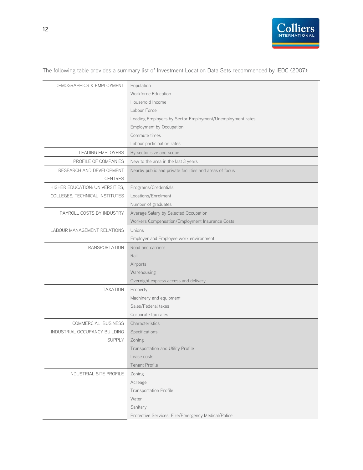![](_page_12_Picture_0.jpeg)

The following table provides a summary list of Investment Location Data Sets recommended by IEDC (2007):

| DEMOGRAPHICS & EMPLOYMENT       | Population                                                |
|---------------------------------|-----------------------------------------------------------|
|                                 | <b>Workforce Education</b>                                |
|                                 | Household Income                                          |
|                                 | Labour Force                                              |
|                                 | Leading Employers by Sector Employment/Unemployment rates |
|                                 | Employment by Occupation                                  |
|                                 | Commute times                                             |
|                                 | Labour participation rates                                |
| <b>LEADING EMPLOYERS</b>        | By sector size and scope                                  |
| PROFILE OF COMPANIES            | New to the area in the last 3 years                       |
| RESEARCH AND DEVELOPMENT        | Nearby public and private facilities and areas of focus   |
| <b>CENTRES</b>                  |                                                           |
| HIGHER EDUCATION: UNIVERSITIES, | Programs/Credentials                                      |
| COLLEGES, TECHNICAL INSTITUTES  | Locations/Enrolment                                       |
|                                 | Number of graduates                                       |
| PAYROLL COSTS BY INDUSTRY       | Average Salary by Selected Occupation                     |
|                                 | Workers Compensation/Employment Insurance Costs           |
| LABOUR MANAGEMENT RELATIONS     | Unions                                                    |
|                                 | Employer and Employee work environment                    |
| <b>TRANSPORTATION</b>           | Road and carriers                                         |
|                                 | Rail                                                      |
|                                 | Airports                                                  |
|                                 | Warehousing                                               |
|                                 | Overnight express access and delivery                     |
| <b>TAXATION</b>                 | Property                                                  |
|                                 | Machinery and equipment                                   |
|                                 | Sales/Federal taxes                                       |
|                                 | Corporate tax rates                                       |
| COMMERCIAL BUSINESS             | Characteristics                                           |
| INDUSTRIAL OCCUPANCY BUILDING   | Specifications                                            |
| <b>SUPPLY</b>                   | Zoning                                                    |
|                                 | Transportation and Utility Profile                        |
|                                 | Lease costs                                               |
|                                 | <b>Tenant Profile</b>                                     |
| INDUSTRIAL SITE PROFILE         | Zoning                                                    |
|                                 | Acreage                                                   |
|                                 | <b>Transportation Profile</b>                             |
|                                 | Water                                                     |
|                                 | Sanitary                                                  |
|                                 | Protective Services: Fire/Emergency Medical/Police        |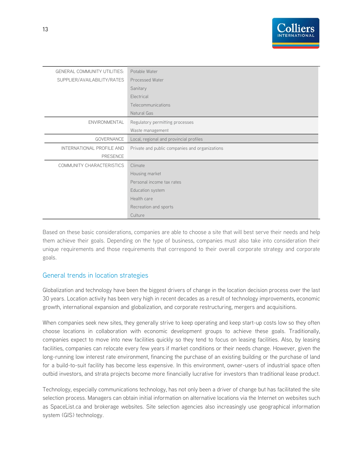![](_page_13_Picture_0.jpeg)

| <b>GENERAL COMMUNITY UTILITIES:</b> | Potable Water                                  |
|-------------------------------------|------------------------------------------------|
| SUPPLIER/AVAILABILITY/RATES         | <b>Processed Water</b>                         |
|                                     | Sanitary                                       |
|                                     | Electrical                                     |
|                                     | Telecommunications                             |
|                                     | Natural Gas                                    |
| <b>ENVIRONMENTAL</b>                | Regulatory permitting processes                |
|                                     | Waste management                               |
| <b>GOVERNANCE</b>                   | Local, regional and provincial profiles        |
| INTERNATIONAL PROFILE AND           | Private and public companies and organizations |
| <b>PRESENCE</b>                     |                                                |
| COMMUNITY CHARACTERISTICS           | Climate                                        |
|                                     | Housing market                                 |
|                                     | Personal income tax rates                      |
|                                     | Education system                               |
|                                     | Health care                                    |
|                                     | Recreation and sports                          |
|                                     | Culture                                        |

Based on these basic considerations, companies are able to choose a site that will best serve their needs and help them achieve their goals. Depending on the type of business, companies must also take into consideration their unique requirements and those requirements that correspond to their overall corporate strategy and corporate goals.

#### General trends in location strategies

Globalization and technology have been the biggest drivers of change in the location decision process over the last 30 years. Location activity has been very high in recent decades as a result of technology improvements, economic growth, international expansion and globalization, and corporate restructuring, mergers and acquisitions.

When companies seek new sites, they generally strive to keep operating and keep start-up costs low so they often choose locations in collaboration with economic development groups to achieve these goals. Traditionally, companies expect to move into new facilities quickly so they tend to focus on leasing facilities. Also, by leasing facilities, companies can relocate every few years if market conditions or their needs change. However, given the long-running low interest rate environment, financing the purchase of an existing building or the purchase of land for a build-to-suit facility has become less expensive. In this environment, owner-users of industrial space often outbid investors, and strata projects become more financially lucrative for investors than traditional lease product.

Technology, especially communications technology, has not only been a driver of change but has facilitated the site selection process. Managers can obtain initial information on alternative locations via the Internet on websites such as SpaceList.ca and brokerage websites. Site selection agencies also increasingly use geographical information system (GIS) technology.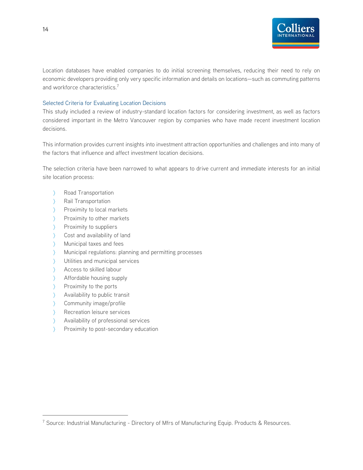![](_page_14_Picture_0.jpeg)

Location databases have enabled companies to do initial screening themselves, reducing their need to rely on economic developers providing only very specific information and details on locations—such as commuting patterns and workforce characteristics.<sup>7</sup>

#### Selected Criteria for Evaluating Location Decisions

This study included a review of industry-standard location factors for considering investment, as well as factors considered important in the Metro Vancouver region by companies who have made recent investment location decisions.

This information provides current insights into investment attraction opportunities and challenges and into many of the factors that influence and affect investment location decisions.

The selection criteria have been narrowed to what appears to drive current and immediate interests for an initial site location process:

- > Road Transportation
- > Rail Transportation
- Proximity to local markets
- > Proximity to other markets
- > Proximity to suppliers
- Star Cost and availability of land
- Municipal taxes and fees
- Municipal regulations: planning and permitting processes
- Utilities and municipal services
- Access to skilled labour
- Affordable housing supply
- $\sum$  Proximity to the ports

 $\overline{a}$ 

- > Availability to public transit
- Community image/profile
- > Recreation leisure services
- Availability of professional services
- Proximity to post-secondary education

<sup>&</sup>lt;sup>7</sup> Source: Industrial Manufacturing - Directory of Mfrs of Manufacturing Equip. Products & Resources.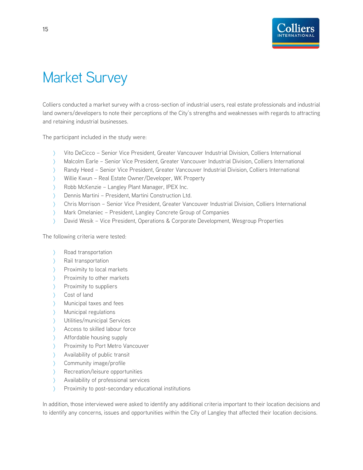![](_page_15_Picture_0.jpeg)

# Market Survey

Colliers conducted a market survey with a cross-section of industrial users, real estate professionals and industrial land owners/developers to note their perceptions of the City's strengths and weaknesses with regards to attracting and retaining industrial businesses.

The participant included in the study were:

- Vito DeCicco Senior Vice President, Greater Vancouver Industrial Division, Colliers International
- Malcolm Earle Senior Vice President, Greater Vancouver Industrial Division, Colliers International
- Randy Heed Senior Vice President, Greater Vancouver Industrial Division, Colliers International
- Willie Kwun Real Estate Owner/Developer, WK Property
- Robb McKenzie Langley Plant Manager, IPEX Inc.
- Dennis Martini President, Martini Construction Ltd.
- Chris Morrison Senior Vice President, Greater Vancouver Industrial Division, Colliers International
- Mark Omelaniec President, Langley Concrete Group of Companies
- David Wesik Vice President, Operations & Corporate Development, Wesgroup Properties

The following criteria were tested:

- Road transportation
- > Rail transportation
- Proximity to local markets
- Proximity to other markets
- > Proximity to suppliers
- Cost of land
- Municipal taxes and fees
- Municipal regulations
- Utilities/municipal Services
- Access to skilled labour force
- Affordable housing supply
- > Proximity to Port Metro Vancouver
- Availability of public transit
- Community image/profile
- Recreation/leisure opportunities
- Availability of professional services
- > Proximity to post-secondary educational institutions

In addition, those interviewed were asked to identify any additional criteria important to their location decisions and to identify any concerns, issues and opportunities within the City of Langley that affected their location decisions.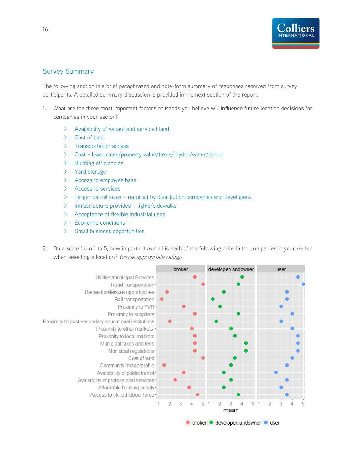![](_page_16_Picture_0.jpeg)

### Survey Summary

The following section is a brief paraphrased and note-form summary of responses received from survey participants. A detailed summary discussion is provided in the next section of the report.

- 1. What are the three most important factors or trends you believe will influence future location decisions for companies in your sector?
	- > Availability of vacant and serviced land
	- > Cost of land
	- > Transportation access
	- > Cost lease rates/property value/taxes/ hydro/water/labour
	- > Building efficiencies
	- > Yard storage
	- > Access to employee base
	- > Access to services
	- > Larger parcel sizes required by distribution companies and developers
	- > Infrastructure provided lights/sidewalks
	- > Acceptance of flexible industrial uses
	- > Economic conditions
	- > Small business opportunities
- 2. On a scale from 1 to 5, how important overall is each of the following criteria for companies in your sector when selecting a location? (circle appropriate rating)

![](_page_16_Figure_18.jpeg)

● broker ● developer/landowner ● user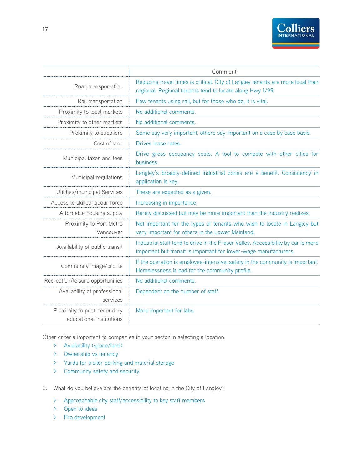![](_page_17_Picture_0.jpeg)

|                                                         | Comment                                                                                                                                               |
|---------------------------------------------------------|-------------------------------------------------------------------------------------------------------------------------------------------------------|
| Road transportation                                     | Reducing travel times is critical. City of Langley tenants are more local than<br>regional. Regional tenants tend to locate along Hwy 1/99.           |
| Rail transportation                                     | Few tenants using rail, but for those who do, it is vital.                                                                                            |
| Proximity to local markets                              | No additional comments.                                                                                                                               |
| Proximity to other markets                              | No additional comments.                                                                                                                               |
| Proximity to suppliers                                  | Some say very important, others say important on a case by case basis.                                                                                |
| Cost of land                                            | Drives lease rates.                                                                                                                                   |
| Municipal taxes and fees                                | Drive gross occupancy costs. A tool to compete with other cities for<br>husiness.                                                                     |
| Municipal regulations                                   | Langley's broadly-defined industrial zones are a benefit. Consistency in<br>application is key.                                                       |
| Utilities/municipal Services                            | These are expected as a given.                                                                                                                        |
| Access to skilled labour force                          | Increasing in importance.                                                                                                                             |
| Affordable housing supply                               | Rarely discussed but may be more important than the industry realizes.                                                                                |
| Proximity to Port Metro<br>Vancouver                    | Not important for the types of tenants who wish to locate in Langley but<br>very important for others in the Lower Mainland.                          |
| Availability of public transit                          | Industrial staff tend to drive in the Fraser Valley. Accessibility by car is more<br>important but transit is important for lower-wage manufacturers. |
| Community image/profile                                 | If the operation is employee-intensive, safety in the community is important.<br>Homelessness is bad for the community profile.                       |
| Recreation/leisure opportunities                        | No additional comments.                                                                                                                               |
| Availability of professional<br>services                | Dependent on the number of staff.                                                                                                                     |
| Proximity to post-secondary<br>educational institutions | More important for labs.                                                                                                                              |

Other criteria important to companies in your sector in selecting a location:

- > Availability (space/land)
- > Ownership vs tenancy
- > Yards for trailer parking and material storage
- > Community safety and security
- 3. What do you believe are the benefits of locating in the City of Langley?
	- > Approachable city staff/accessibility to key staff members
	- > Open to ideas
	- > Pro development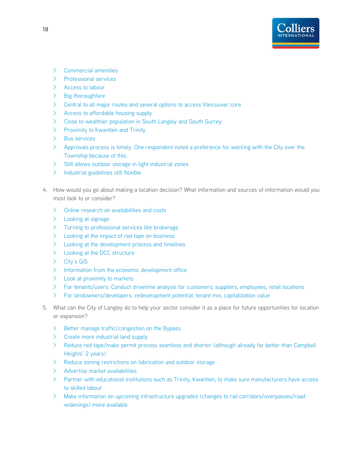![](_page_18_Picture_0.jpeg)

- > Commercial amenities
- > Professional services
- > Access to labour
- > Big thoroughfare
- > Central to all major routes and several options to access Vancouver core
- > Access to affordable housing supply
- > Close to wealthier population in South Langley and South Surrey
- > Proximity to Kwantlen and Trinity
- > Bus services
- > Approvals process is timely. One respondent noted a preference for working with the City over the Township because of this.
- > Still allows outdoor storage in light industrial zones
- > Industrial guidelines still flexible
- 4. How would you go about making a location decision? What information and sources of information would you most look to or consider?
	- > Online research on availabilities and costs
	- > Looking at signage
	- > Turning to professional services like brokerage
	- > Looking at the impact of red tape on business
	- > Looking at the development process and timelines
	- > Looking at the DCC structure
	- > City's GIS
	- > Information from the economic development office
	- > Look at proximity to markets
	- > For tenants/users: Conduct drivetime analysis for customers, suppliers, employees, retail locations
	- > For landowners/developers: redevelopment potential, tenant mix, capitalization value
- 5. What can the City of Langley do to help your sector consider it as a place for future opportunities for location or expansion?
	- > Better manage traffic/congestion on the Bypass
	- > Create more industrial land supply
	- > Reduce red tape/make permit process seamless and shorter (although already far better than Campbell Heights' 2 years)
	- > Reduce zoning restrictions on fabrication and outdoor storage
	- > Advertise market availabilities
	- > Partner with educational institutions such as Trinity, Kwantlen, to make sure manufacturers have access to skilled labour
	- > Make information on upcoming infrastructure upgrades (changes to rail corridors/overpasses/road widenings) more available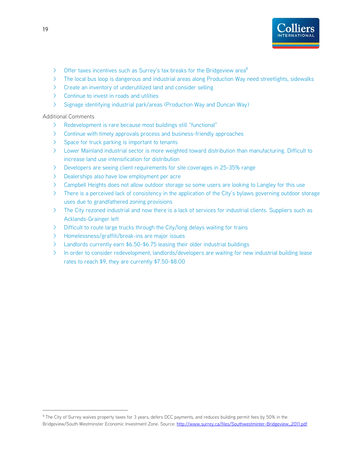![](_page_19_Picture_0.jpeg)

- $\triangleright$  Offer taxes incentives such as Surrey's tax breaks for the Bridgeview area<sup>8</sup>
- > The local bus loop is dangerous and industrial areas along Production Way need streetlights, sidewalks
- > Create an inventory of underutilized land and consider selling
- > Continue to invest in roads and utilities
- > Signage identifying industrial park/areas (Production Way and Duncan Way)

Additional Comments

- > Redevelopment is rare because most buildings still "functional"
- > Continue with timely approvals process and business-friendly approaches
- > Space for truck parking is important to tenants
- > Lower Mainland industrial sector is more weighted toward distribution than manufacturing. Difficult to increase land use intensification for distribution
- > Developers are seeing client requirements for site coverages in 25-35% range
- > Dealerships also have low employment per acre
- > Campbell Heights does not allow outdoor storage so some users are looking to Langley for this use
- > There is a perceived lack of consistency in the application of the City's bylaws governing outdoor storage uses due to grandfathered zoning provisions
- > The City rezoned industrial and now there is a lack of services for industrial clients. Suppliers such as Acklands-Grainger left
- > Difficult to route large trucks through the City/long delays waiting for trains
- > Homelessness/graffiti/break-ins are major issues
- > Landlords currently earn \$6.50-\$6.75 leasing their older industrial buildings
- > In order to consider redevelopment, landlords/developers are waiting for new industrial building lease rates to reach \$9, they are currently \$7.50-\$8.00

 $\overline{a}$ 

<sup>&</sup>lt;sup>8</sup> The City of Surrey waives property taxes for 3 years, defers DCC payments, and reduces building permit fees by 50% in the Bridgeview/South Westminster Economic Investment Zone. Source: http://www.surrey.ca/files/Southwestminter-Bridgeview\_2011.pdf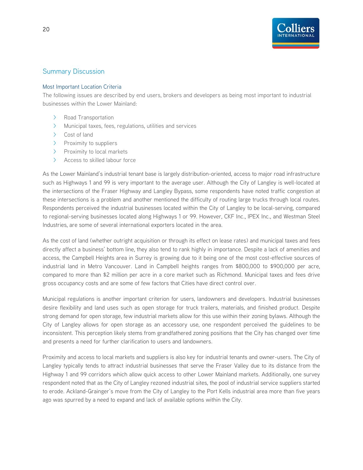![](_page_20_Picture_0.jpeg)

### Summary Discussion

#### Most Important Location Criteria

The following issues are described by end users, brokers and developers as being most important to industrial businesses within the Lower Mainland:

- > Road Transportation
- > Municipal taxes, fees, regulations, utilities and services
- > Cost of land
- > Proximity to suppliers
- > Proximity to local markets
- > Access to skilled labour force

As the Lower Mainland's industrial tenant base is largely distribution-oriented, access to major road infrastructure such as Highways 1 and 99 is very important to the average user. Although the City of Langley is well-located at the intersections of the Fraser Highway and Langley Bypass, some respondents have noted traffic congestion at these intersections is a problem and another mentioned the difficulty of routing large trucks through local routes. Respondents perceived the industrial businesses located within the City of Langley to be local-serving, compared to regional-serving businesses located along Highways 1 or 99. However, CKF Inc., IPEX Inc., and Westman Steel Industries, are some of several international exporters located in the area.

As the cost of land (whether outright acquisition or through its effect on lease rates) and municipal taxes and fees directly affect a business' bottom line, they also tend to rank highly in importance. Despite a lack of amenities and access, the Campbell Heights area in Surrey is growing due to it being one of the most cost-effective sources of industrial land in Metro Vancouver. Land in Campbell heights ranges from \$800,000 to \$900,000 per acre, compared to more than \$2 million per acre in a core market such as Richmond. Municipal taxes and fees drive gross occupancy costs and are some of few factors that Cities have direct control over.

Municipal regulations is another important criterion for users, landowners and developers. Industrial businesses desire flexibility and land uses such as open storage for truck trailers, materials, and finished product. Despite strong demand for open storage, few industrial markets allow for this use within their zoning bylaws. Although the City of Langley allows for open storage as an accessory use, one respondent perceived the guidelines to be inconsistent. This perception likely stems from grandfathered zoning positions that the City has changed over time and presents a need for further clarification to users and landowners.

Proximity and access to local markets and suppliers is also key for industrial tenants and owner-users. The City of Langley typically tends to attract industrial businesses that serve the Fraser Valley due to its distance from the Highway 1 and 99 corridors which allow quick access to other Lower Mainland markets. Additionally, one survey respondent noted that as the City of Langley rezoned industrial sites, the pool of industrial service suppliers started to erode. Ackland-Grainger's move from the City of Langley to the Port Kells industrial area more than five years ago was spurred by a need to expand and lack of available options within the City.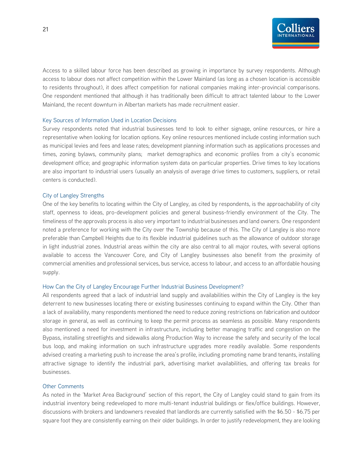![](_page_21_Picture_0.jpeg)

Access to a skilled labour force has been described as growing in importance by survey respondents. Although access to labour does not affect competition within the Lower Mainland (as long as a chosen location is accessible to residents throughout), it does affect competition for national companies making inter-provincial comparisons. One respondent mentioned that although it has traditionally been difficult to attract talented labour to the Lower Mainland, the recent downturn in Albertan markets has made recruitment easier.

#### Key Sources of Information Used in Location Decisions

Survey respondents noted that industrial businesses tend to look to either signage, online resources, or hire a representative when looking for location options. Key online resources mentioned include costing information such as municipal levies and fees and lease rates; development planning information such as applications processes and times, zoning bylaws, community plans; market demographics and economic profiles from a city's economic development office; and geographic information system data on particular properties. Drive times to key locations are also important to industrial users (usually an analysis of average drive times to customers, suppliers, or retail centers is conducted).

#### City of Langley Strengths

One of the key benefits to locating within the City of Langley, as cited by respondents, is the approachability of city staff, openness to ideas, pro-development policies and general business-friendly environment of the City. The timeliness of the approvals process is also very important to industrial businesses and land owners. One respondent noted a preference for working with the City over the Township because of this. The City of Langley is also more preferable than Campbell Heights due to its flexible industrial guidelines such as the allowance of outdoor storage in light industrial zones. Industrial areas within the city are also central to all major routes, with several options available to access the Vancouver Core, and City of Langley businesses also benefit from the proximity of commercial amenities and professional services, bus service, access to labour, and access to an affordable housing supply.

#### How Can the City of Langley Encourage Further Industrial Business Development?

All respondents agreed that a lack of industrial land supply and availabilities within the City of Langley is the key deterrent to new businesses locating there or existing businesses continuing to expand within the City. Other than a lack of availability, many respondents mentioned the need to reduce zoning restrictions on fabrication and outdoor storage in general, as well as continuing to keep the permit process as seamless as possible. Many respondents also mentioned a need for investment in infrastructure, including better managing traffic and congestion on the Bypass, installing streetlights and sidewalks along Production Way to increase the safety and security of the local bus loop, and making information on such infrastructure upgrades more readily available. Some respondents advised creating a marketing push to increase the area's profile, including promoting name brand tenants, installing attractive signage to identify the industrial park, advertising market availabilities, and offering tax breaks for businesses.

#### Other Comments

As noted in the 'Market Area Background' section of this report, the City of Langley could stand to gain from its industrial inventory being redeveloped to more multi-tenant industrial buildings or flex/office buildings. However, discussions with brokers and landowners revealed that landlords are currently satisfied with the \$6.50 - \$6.75 per square foot they are consistently earning on their older buildings. In order to justify redevelopment, they are looking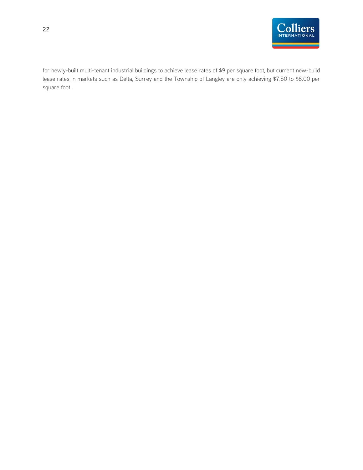![](_page_22_Picture_0.jpeg)

for newly-built multi-tenant industrial buildings to achieve lease rates of \$9 per square foot, but current new-build lease rates in markets such as Delta, Surrey and the Township of Langley are only achieving \$7.50 to \$8.00 per square foot.